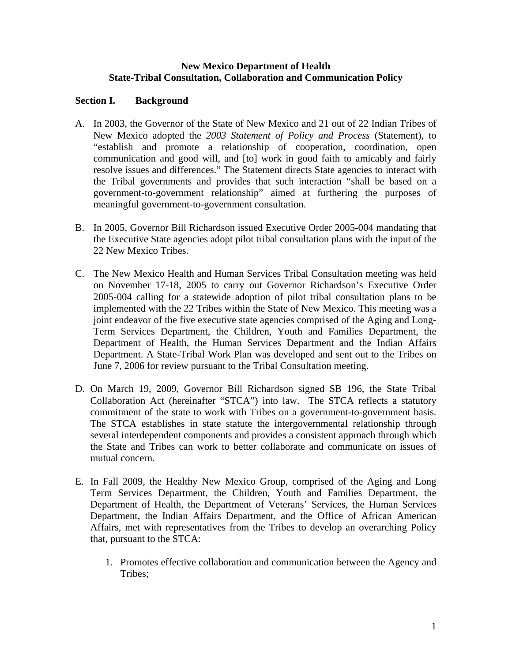### **New Mexico Department of Health State-Tribal Consultation, Collaboration and Communication Policy**

## **Section I. Background**

- A. In 2003, the Governor of the State of New Mexico and 21 out of 22 Indian Tribes of New Mexico adopted the *2003 Statement of Policy and Process* (Statement), to "establish and promote a relationship of cooperation, coordination, open communication and good will, and [to] work in good faith to amicably and fairly resolve issues and differences." The Statement directs State agencies to interact with the Tribal governments and provides that such interaction "shall be based on a government-to-government relationship" aimed at furthering the purposes of meaningful government-to-government consultation.
- B. In 2005, Governor Bill Richardson issued Executive Order 2005-004 mandating that the Executive State agencies adopt pilot tribal consultation plans with the input of the 22 New Mexico Tribes.
- C. The New Mexico Health and Human Services Tribal Consultation meeting was held on November 17-18, 2005 to carry out Governor Richardson's Executive Order 2005-004 calling for a statewide adoption of pilot tribal consultation plans to be implemented with the 22 Tribes within the State of New Mexico. This meeting was a joint endeavor of the five executive state agencies comprised of the Aging and Long-Term Services Department, the Children, Youth and Families Department, the Department of Health, the Human Services Department and the Indian Affairs Department. A State-Tribal Work Plan was developed and sent out to the Tribes on June 7, 2006 for review pursuant to the Tribal Consultation meeting.
- D. On March 19, 2009, Governor Bill Richardson signed SB 196, the State Tribal Collaboration Act (hereinafter "STCA") into law. The STCA reflects a statutory commitment of the state to work with Tribes on a government-to-government basis. The STCA establishes in state statute the intergovernmental relationship through several interdependent components and provides a consistent approach through which the State and Tribes can work to better collaborate and communicate on issues of mutual concern.
- E. In Fall 2009, the Healthy New Mexico Group, comprised of the Aging and Long Term Services Department, the Children, Youth and Families Department, the Department of Health, the Department of Veterans' Services, the Human Services Department, the Indian Affairs Department, and the Office of African American Affairs, met with representatives from the Tribes to develop an overarching Policy that, pursuant to the STCA:
	- 1. Promotes effective collaboration and communication between the Agency and Tribes;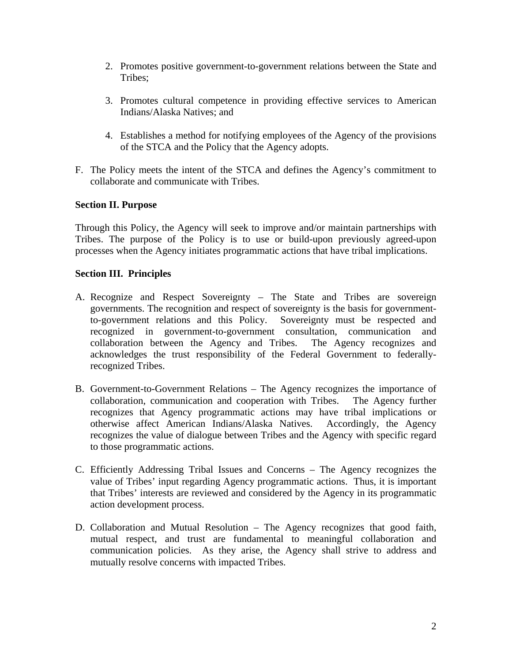- 2. Promotes positive government-to-government relations between the State and Tribes;
- 3. Promotes cultural competence in providing effective services to American Indians/Alaska Natives; and
- 4. Establishes a method for notifying employees of the Agency of the provisions of the STCA and the Policy that the Agency adopts.
- F. The Policy meets the intent of the STCA and defines the Agency's commitment to collaborate and communicate with Tribes.

## **Section II. Purpose**

Through this Policy, the Agency will seek to improve and/or maintain partnerships with Tribes. The purpose of the Policy is to use or build-upon previously agreed-upon processes when the Agency initiates programmatic actions that have tribal implications.

### **Section III. Principles**

- A. Recognize and Respect Sovereignty The State and Tribes are sovereign governments. The recognition and respect of sovereignty is the basis for governmentto-government relations and this Policy. Sovereignty must be respected and recognized in government-to-government consultation, communication and collaboration between the Agency and Tribes. The Agency recognizes and acknowledges the trust responsibility of the Federal Government to federallyrecognized Tribes.
- B. Government-to-Government Relations The Agency recognizes the importance of collaboration, communication and cooperation with Tribes. The Agency further recognizes that Agency programmatic actions may have tribal implications or otherwise affect American Indians/Alaska Natives. Accordingly, the Agency recognizes the value of dialogue between Tribes and the Agency with specific regard to those programmatic actions.
- C. Efficiently Addressing Tribal Issues and Concerns The Agency recognizes the value of Tribes' input regarding Agency programmatic actions. Thus, it is important that Tribes' interests are reviewed and considered by the Agency in its programmatic action development process.
- D. Collaboration and Mutual Resolution The Agency recognizes that good faith, mutual respect, and trust are fundamental to meaningful collaboration and communication policies. As they arise, the Agency shall strive to address and mutually resolve concerns with impacted Tribes.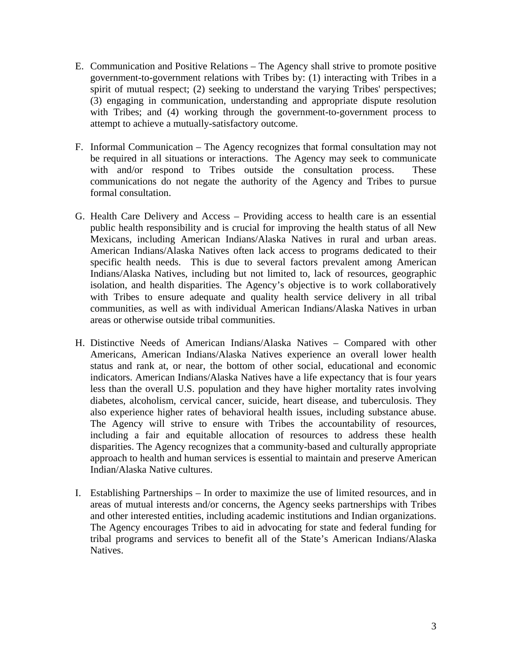- E. Communication and Positive Relations The Agency shall strive to promote positive government-to-government relations with Tribes by: (1) interacting with Tribes in a spirit of mutual respect; (2) seeking to understand the varying Tribes' perspectives; (3) engaging in communication, understanding and appropriate dispute resolution with Tribes; and (4) working through the government-to-government process to attempt to achieve a mutually-satisfactory outcome.
- F. Informal Communication The Agency recognizes that formal consultation may not be required in all situations or interactions. The Agency may seek to communicate with and/or respond to Tribes outside the consultation process. These communications do not negate the authority of the Agency and Tribes to pursue formal consultation.
- G. Health Care Delivery and Access Providing access to health care is an essential public health responsibility and is crucial for improving the health status of all New Mexicans, including American Indians/Alaska Natives in rural and urban areas. American Indians/Alaska Natives often lack access to programs dedicated to their specific health needs. This is due to several factors prevalent among American Indians/Alaska Natives, including but not limited to, lack of resources, geographic isolation, and health disparities. The Agency's objective is to work collaboratively with Tribes to ensure adequate and quality health service delivery in all tribal communities, as well as with individual American Indians/Alaska Natives in urban areas or otherwise outside tribal communities.
- H. Distinctive Needs of American Indians/Alaska Natives Compared with other Americans, American Indians/Alaska Natives experience an overall lower health status and rank at, or near, the bottom of other social, educational and economic indicators. American Indians/Alaska Natives have a life expectancy that is four years less than the overall U.S. population and they have higher mortality rates involving diabetes, alcoholism, cervical cancer, suicide, heart disease, and tuberculosis. They also experience higher rates of behavioral health issues, including substance abuse. The Agency will strive to ensure with Tribes the accountability of resources, including a fair and equitable allocation of resources to address these health disparities. The Agency recognizes that a community-based and culturally appropriate approach to health and human services is essential to maintain and preserve American Indian/Alaska Native cultures.
- I. Establishing Partnerships In order to maximize the use of limited resources, and in areas of mutual interests and/or concerns, the Agency seeks partnerships with Tribes and other interested entities, including academic institutions and Indian organizations. The Agency encourages Tribes to aid in advocating for state and federal funding for tribal programs and services to benefit all of the State's American Indians/Alaska **Natives**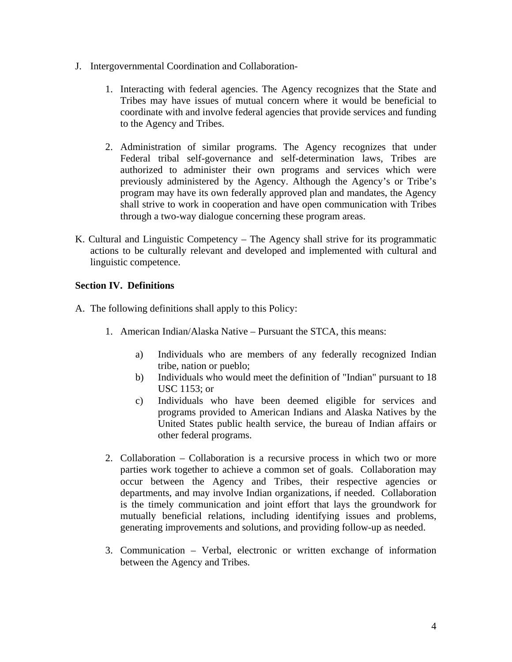- J. Intergovernmental Coordination and Collaboration-
	- 1. Interacting with federal agencies. The Agency recognizes that the State and Tribes may have issues of mutual concern where it would be beneficial to coordinate with and involve federal agencies that provide services and funding to the Agency and Tribes.
	- 2. Administration of similar programs. The Agency recognizes that under Federal tribal self-governance and self-determination laws, Tribes are authorized to administer their own programs and services which were previously administered by the Agency. Although the Agency's or Tribe's program may have its own federally approved plan and mandates, the Agency shall strive to work in cooperation and have open communication with Tribes through a two-way dialogue concerning these program areas.
- K. Cultural and Linguistic Competency The Agency shall strive for its programmatic actions to be culturally relevant and developed and implemented with cultural and linguistic competence.

# **Section IV. Definitions**

- A. The following definitions shall apply to this Policy:
	- 1. American Indian/Alaska Native Pursuant the STCA, this means:
		- a) Individuals who are members of any federally recognized Indian tribe, nation or pueblo;
		- b) Individuals who would meet the definition of "Indian" pursuant to 18 USC 1153; or
		- c) Individuals who have been deemed eligible for services and programs provided to American Indians and Alaska Natives by the United States public health service, the bureau of Indian affairs or other federal programs.
	- 2. Collaboration Collaboration is a recursive process in which two or more parties work together to achieve a common set of goals. Collaboration may occur between the Agency and Tribes, their respective agencies or departments, and may involve Indian organizations, if needed. Collaboration is the timely communication and joint effort that lays the groundwork for mutually beneficial relations, including identifying issues and problems, generating improvements and solutions, and providing follow-up as needed.
	- 3. Communication Verbal, electronic or written exchange of information between the Agency and Tribes.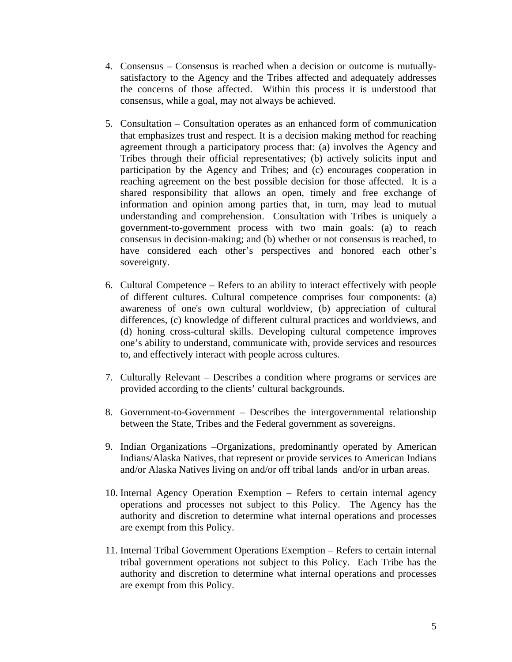- 4. Consensus Consensus is reached when a decision or outcome is mutuallysatisfactory to the Agency and the Tribes affected and adequately addresses the concerns of those affected. Within this process it is understood that consensus, while a goal, may not always be achieved.
- 5. Consultation Consultation operates as an enhanced form of communication that emphasizes trust and respect. It is a decision making method for reaching agreement through a participatory process that: (a) involves the Agency and Tribes through their official representatives; (b) actively solicits input and participation by the Agency and Tribes; and (c) encourages cooperation in reaching agreement on the best possible decision for those affected. It is a shared responsibility that allows an open, timely and free exchange of information and opinion among parties that, in turn, may lead to mutual understanding and comprehension. Consultation with Tribes is uniquely a government-to-government process with two main goals: (a) to reach consensus in decision-making; and (b) whether or not consensus is reached, to have considered each other's perspectives and honored each other's sovereignty.
- 6. Cultural Competence Refers to an ability to interact effectively with people of different cultures. Cultural competence comprises four components: (a) awareness of one's own cultural worldview, (b) appreciation of cultural differences, (c) knowledge of different cultural practices and worldviews, and (d) honing cross-cultural skills. Developing cultural competence improves one's ability to understand, communicate with, provide services and resources to, and effectively interact with people across cultures.
- 7. Culturally Relevant Describes a condition where programs or services are provided according to the clients' cultural backgrounds.
- 8. Government-to-Government Describes the intergovernmental relationship between the State, Tribes and the Federal government as sovereigns.
- 9. Indian Organizations –Organizations, predominantly operated by American Indians/Alaska Natives, that represent or provide services to American Indians and/or Alaska Natives living on and/or off tribal lands and/or in urban areas.
- 10. Internal Agency Operation Exemption Refers to certain internal agency operations and processes not subject to this Policy. The Agency has the authority and discretion to determine what internal operations and processes are exempt from this Policy.
- 11. Internal Tribal Government Operations Exemption Refers to certain internal tribal government operations not subject to this Policy. Each Tribe has the authority and discretion to determine what internal operations and processes are exempt from this Policy.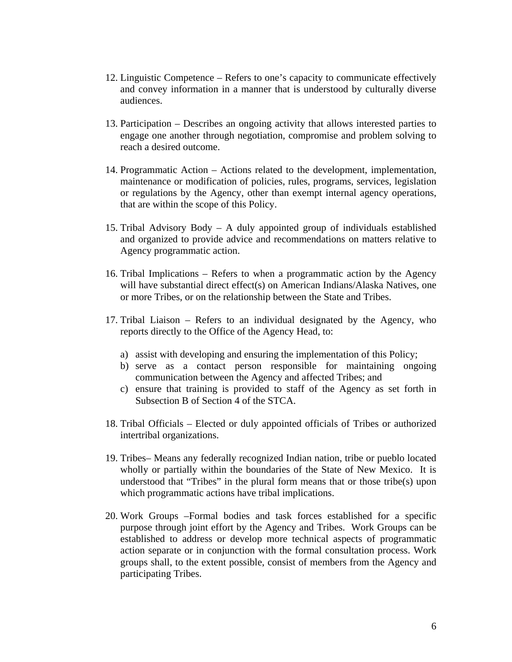- 12. Linguistic Competence Refers to one's capacity to communicate effectively and convey information in a manner that is understood by culturally diverse audiences.
- 13. Participation Describes an ongoing activity that allows interested parties to engage one another through negotiation, compromise and problem solving to reach a desired outcome.
- 14. Programmatic Action Actions related to the development, implementation, maintenance or modification of policies, rules, programs, services, legislation or regulations by the Agency, other than exempt internal agency operations, that are within the scope of this Policy.
- 15. Tribal Advisory Body A duly appointed group of individuals established and organized to provide advice and recommendations on matters relative to Agency programmatic action.
- 16. Tribal Implications Refers to when a programmatic action by the Agency will have substantial direct effect(s) on American Indians/Alaska Natives, one or more Tribes, or on the relationship between the State and Tribes.
- 17. Tribal Liaison Refers to an individual designated by the Agency, who reports directly to the Office of the Agency Head, to:
	- a) assist with developing and ensuring the implementation of this Policy;
	- b) serve as a contact person responsible for maintaining ongoing communication between the Agency and affected Tribes; and
	- c) ensure that training is provided to staff of the Agency as set forth in Subsection B of Section 4 of the STCA.
- 18. Tribal Officials Elected or duly appointed officials of Tribes or authorized intertribal organizations.
- 19. Tribes– Means any federally recognized Indian nation, tribe or pueblo located wholly or partially within the boundaries of the State of New Mexico. It is understood that "Tribes" in the plural form means that or those tribe(s) upon which programmatic actions have tribal implications.
- 20. Work Groups –Formal bodies and task forces established for a specific purpose through joint effort by the Agency and Tribes. Work Groups can be established to address or develop more technical aspects of programmatic action separate or in conjunction with the formal consultation process. Work groups shall, to the extent possible, consist of members from the Agency and participating Tribes.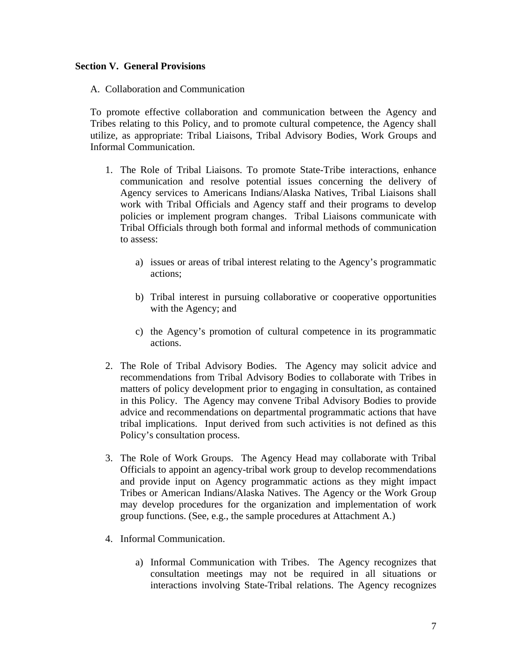#### **Section V. General Provisions**

A. Collaboration and Communication

To promote effective collaboration and communication between the Agency and Tribes relating to this Policy, and to promote cultural competence, the Agency shall utilize, as appropriate: Tribal Liaisons, Tribal Advisory Bodies, Work Groups and Informal Communication.

- 1. The Role of Tribal Liaisons. To promote State-Tribe interactions, enhance communication and resolve potential issues concerning the delivery of Agency services to Americans Indians/Alaska Natives, Tribal Liaisons shall work with Tribal Officials and Agency staff and their programs to develop policies or implement program changes. Tribal Liaisons communicate with Tribal Officials through both formal and informal methods of communication to assess:
	- a) issues or areas of tribal interest relating to the Agency's programmatic actions;
	- b) Tribal interest in pursuing collaborative or cooperative opportunities with the Agency; and
	- c) the Agency's promotion of cultural competence in its programmatic actions.
- 2. The Role of Tribal Advisory Bodies. The Agency may solicit advice and recommendations from Tribal Advisory Bodies to collaborate with Tribes in matters of policy development prior to engaging in consultation, as contained in this Policy. The Agency may convene Tribal Advisory Bodies to provide advice and recommendations on departmental programmatic actions that have tribal implications. Input derived from such activities is not defined as this Policy's consultation process.
- 3. The Role of Work Groups. The Agency Head may collaborate with Tribal Officials to appoint an agency-tribal work group to develop recommendations and provide input on Agency programmatic actions as they might impact Tribes or American Indians/Alaska Natives. The Agency or the Work Group may develop procedures for the organization and implementation of work group functions. (See, e.g., the sample procedures at Attachment A.)
- 4. Informal Communication.
	- a) Informal Communication with Tribes. The Agency recognizes that consultation meetings may not be required in all situations or interactions involving State-Tribal relations. The Agency recognizes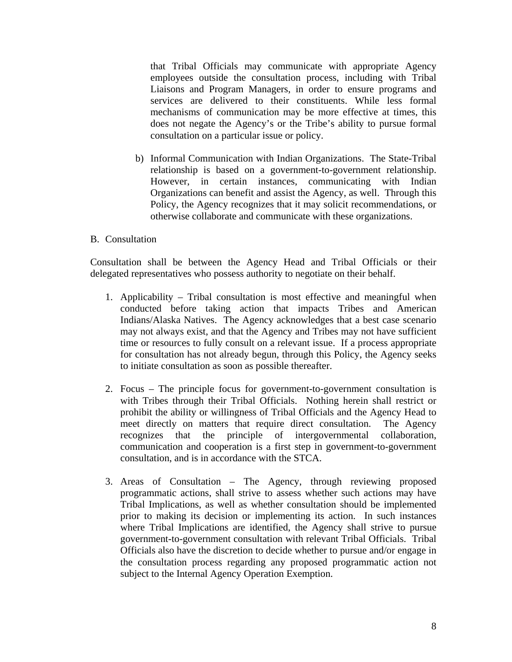that Tribal Officials may communicate with appropriate Agency employees outside the consultation process, including with Tribal Liaisons and Program Managers, in order to ensure programs and services are delivered to their constituents. While less formal mechanisms of communication may be more effective at times, this does not negate the Agency's or the Tribe's ability to pursue formal consultation on a particular issue or policy.

b) Informal Communication with Indian Organizations. The State-Tribal relationship is based on a government-to-government relationship. However, in certain instances, communicating with Indian Organizations can benefit and assist the Agency, as well. Through this Policy, the Agency recognizes that it may solicit recommendations, or otherwise collaborate and communicate with these organizations.

#### B. Consultation

Consultation shall be between the Agency Head and Tribal Officials or their delegated representatives who possess authority to negotiate on their behalf.

- 1. Applicability Tribal consultation is most effective and meaningful when conducted before taking action that impacts Tribes and American Indians/Alaska Natives. The Agency acknowledges that a best case scenario may not always exist, and that the Agency and Tribes may not have sufficient time or resources to fully consult on a relevant issue. If a process appropriate for consultation has not already begun, through this Policy, the Agency seeks to initiate consultation as soon as possible thereafter.
- 2. Focus The principle focus for government-to-government consultation is with Tribes through their Tribal Officials. Nothing herein shall restrict or prohibit the ability or willingness of Tribal Officials and the Agency Head to meet directly on matters that require direct consultation. The Agency recognizes that the principle of intergovernmental collaboration, communication and cooperation is a first step in government-to-government consultation, and is in accordance with the STCA.
- 3. Areas of Consultation The Agency, through reviewing proposed programmatic actions, shall strive to assess whether such actions may have Tribal Implications, as well as whether consultation should be implemented prior to making its decision or implementing its action. In such instances where Tribal Implications are identified, the Agency shall strive to pursue government-to-government consultation with relevant Tribal Officials. Tribal Officials also have the discretion to decide whether to pursue and/or engage in the consultation process regarding any proposed programmatic action not subject to the Internal Agency Operation Exemption.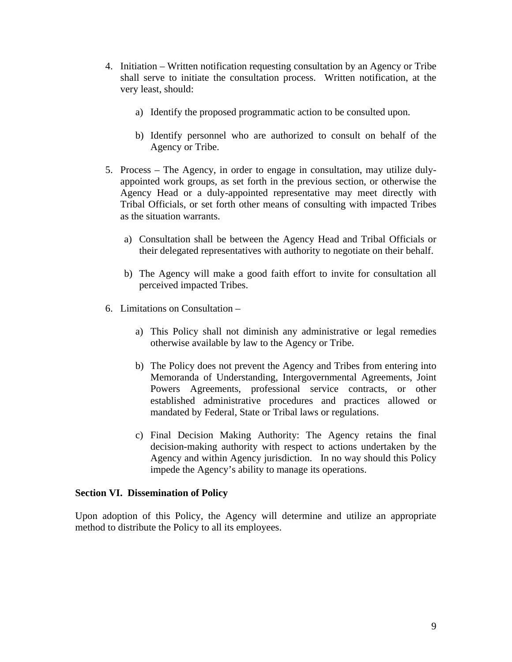- 4. Initiation Written notification requesting consultation by an Agency or Tribe shall serve to initiate the consultation process. Written notification, at the very least, should:
	- a) Identify the proposed programmatic action to be consulted upon.
	- b) Identify personnel who are authorized to consult on behalf of the Agency or Tribe.
- 5. Process The Agency, in order to engage in consultation, may utilize dulyappointed work groups, as set forth in the previous section, or otherwise the Agency Head or a duly-appointed representative may meet directly with Tribal Officials, or set forth other means of consulting with impacted Tribes as the situation warrants.
	- a) Consultation shall be between the Agency Head and Tribal Officials or their delegated representatives with authority to negotiate on their behalf.
	- b) The Agency will make a good faith effort to invite for consultation all perceived impacted Tribes.
- 6. Limitations on Consultation
	- a) This Policy shall not diminish any administrative or legal remedies otherwise available by law to the Agency or Tribe.
	- b) The Policy does not prevent the Agency and Tribes from entering into Memoranda of Understanding, Intergovernmental Agreements, Joint Powers Agreements, professional service contracts, or other established administrative procedures and practices allowed or mandated by Federal, State or Tribal laws or regulations.
	- c) Final Decision Making Authority: The Agency retains the final decision-making authority with respect to actions undertaken by the Agency and within Agency jurisdiction. In no way should this Policy impede the Agency's ability to manage its operations.

### **Section VI. Dissemination of Policy**

Upon adoption of this Policy, the Agency will determine and utilize an appropriate method to distribute the Policy to all its employees.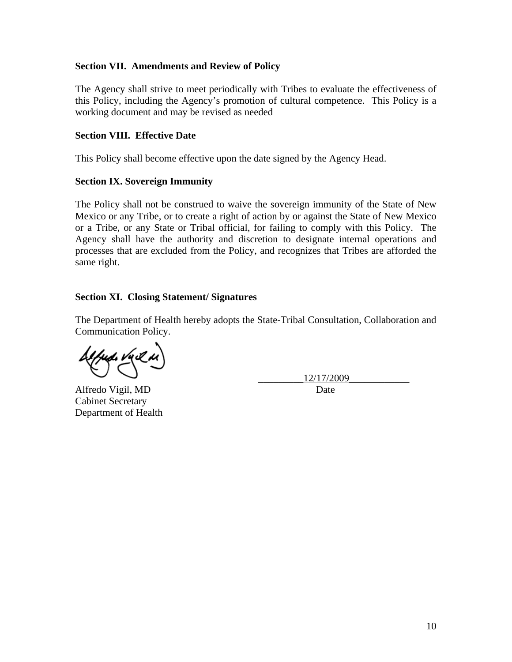## **Section VII. Amendments and Review of Policy**

The Agency shall strive to meet periodically with Tribes to evaluate the effectiveness of this Policy, including the Agency's promotion of cultural competence. This Policy is a working document and may be revised as needed

## **Section VIII. Effective Date**

This Policy shall become effective upon the date signed by the Agency Head.

## **Section IX. Sovereign Immunity**

The Policy shall not be construed to waive the sovereign immunity of the State of New Mexico or any Tribe, or to create a right of action by or against the State of New Mexico or a Tribe, or any State or Tribal official, for failing to comply with this Policy. The Agency shall have the authority and discretion to designate internal operations and processes that are excluded from the Policy, and recognizes that Tribes are afforded the same right.

## **Section XI. Closing Statement/ Signatures**

The Department of Health hereby adopts the State-Tribal Consultation, Collaboration and Communication Policy.

Alfredo Vigil, MD Date Cabinet Secretary Department of Health

\_\_\_\_\_\_\_\_\_12/17/2009\_\_\_\_\_\_\_\_\_\_\_\_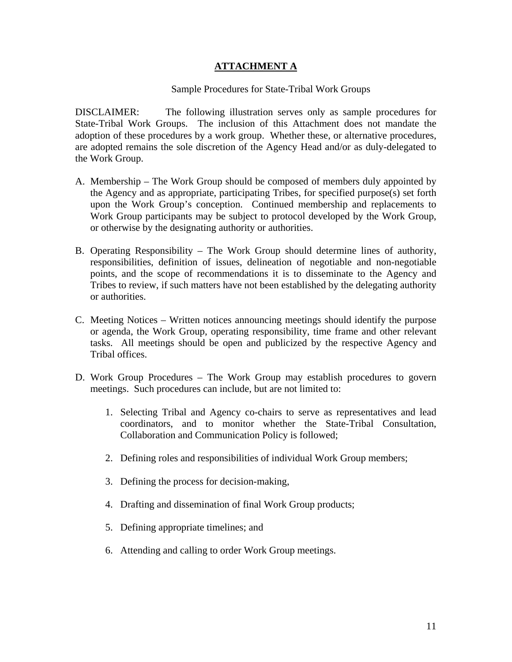## **ATTACHMENT A**

### Sample Procedures for State-Tribal Work Groups

DISCLAIMER: The following illustration serves only as sample procedures for State-Tribal Work Groups. The inclusion of this Attachment does not mandate the adoption of these procedures by a work group. Whether these, or alternative procedures, are adopted remains the sole discretion of the Agency Head and/or as duly-delegated to the Work Group.

- A. Membership The Work Group should be composed of members duly appointed by the Agency and as appropriate, participating Tribes, for specified purpose(s) set forth upon the Work Group's conception. Continued membership and replacements to Work Group participants may be subject to protocol developed by the Work Group, or otherwise by the designating authority or authorities.
- B. Operating Responsibility The Work Group should determine lines of authority, responsibilities, definition of issues, delineation of negotiable and non-negotiable points, and the scope of recommendations it is to disseminate to the Agency and Tribes to review, if such matters have not been established by the delegating authority or authorities.
- C. Meeting Notices Written notices announcing meetings should identify the purpose or agenda, the Work Group, operating responsibility, time frame and other relevant tasks. All meetings should be open and publicized by the respective Agency and Tribal offices.
- D. Work Group Procedures The Work Group may establish procedures to govern meetings. Such procedures can include, but are not limited to:
	- 1. Selecting Tribal and Agency co-chairs to serve as representatives and lead coordinators, and to monitor whether the State-Tribal Consultation, Collaboration and Communication Policy is followed;
	- 2. Defining roles and responsibilities of individual Work Group members;
	- 3. Defining the process for decision-making,
	- 4. Drafting and dissemination of final Work Group products;
	- 5. Defining appropriate timelines; and
	- 6. Attending and calling to order Work Group meetings.